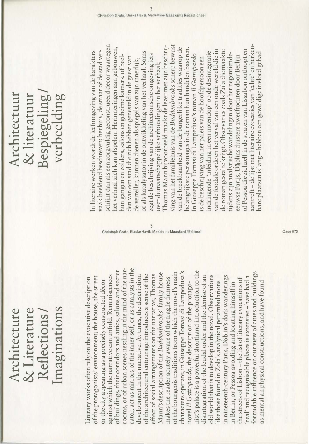## Imaginations & Literature Architecture Reflections I Imaginations Architecture & Literature Reflections/

rator, act as mirrors of the inner self, or as catalysts in the rooms, or of urban scenes nestling in the mind of the narator, act as mirrors of the inner self, or as catalysts in the rooms, or of urban scenes nestling in the mind of the narof buildings, their corridors and attics, salons and secret nist's palace is a powerful shorthand introduction to the nist's palace is a powerful shorthand introduction to the of buildings, their corridors and attics, salons and secret of the bourgeois traditions from which the novel's main characters operate; in Giuseppe Tomasi di Lampedusa's formidable influence on our view of cities and buildings formidable influence on our view of cities and buildings Mann's description of the Buddenbrooks' family house Mann's description of the Buddenbrooks' family house of the bourgeois traditions from which the novel's main characters operate; in Giuseppe Tomasi di Lampedusa's development in the narrative. At times, the description of the architectural entourage introduces a sense of the of the architectural entourage introduces a sense of the effect of social arrangements on the narrative; Thomas effect of social arrangements on the narrative; I homas against which the narrative can unfold. Reminiscences against which the narrative can unfold. Reminiscences development in the narrative. At times, the description disintegration of the feudal order and the demise of an disintegration of the feudal order and the demise of an old world that is to develop in the novel. Observations old world that is to develop in the novel. Observations in nineteenth-century Paris, Döblin's dark wanderings real' and recognisable places is extensive - have had a of the protagonists' environment; the house, the street in nineteenth-century Paris, Döblin's dark wanderings 'real' and recognisable places is extensive- have had a Literary works often rely on the evocative description of the protagonists' environment; the house, the street makes the reader acutely aware of the fragile firmness iterary works often rely on the evocative description makes the reader acutely aware of the fragile firmness the streets of Lisbon- the list of literary evocations of the streets of Lisbon-the list of literary evocations of or the city appearing as a precisely constructed décor or the city appearing as a precisely constructed decor ike those found in Zola's analytical perambulations as mental an physical constructions, and have found like those found in Zola's analytical perambulations as mental an physical constructions, and have found n Berlin, or Pessoa avoiding and locating himself in in Berlin, or Pessoa avoiding and locating himself in novel Il Gattopardo, the description of the protagonovel II Gattopardo, the description of the protago-

م وين المستوى على المستوى كي.<br>Christoph Grafe, Klaske Havik, Madeleine Maaskant/Editora

## Bespiegeling I **Architectuur** & literatuur Architectuur verbeelding & literatuur Bespiegeling verbeelding

schijnt dan als een zorgvuldig geconstrueerd decor waartegen schijnt dan als een zorgvuldig geconstrueerd decor waartegen ving van het familiehuis van de Buddenbrooks scherp bewust ving van het familiehuis van de Buddenbrooks scherp bewust aantreft-de lijst met literaire evocaties van 'echte' en herken-Thomas Mann bijvoorbeeld maakt de lezer met zijn beschrijaantreft- de lijst met literaire evocaties van 'echte' en her kenet verhaal zich kan afspelen. Herinneringen aan gebouwen, het verhaal zich kan afspelen. Herinneringen aan gebouwen, T homas Mann bijvoorbeeld maakt de lezer met zijn beschrijvan de breekbaarheid van de burgerlijke tradities waarop de belangrijkste personages in de roman hun handelen baseren. van de breekbaarheid van de burgerlijke tradities waarop de belangrijkste personages in de roman hun handelen baseren. of Pessoa die zichzelf in de straten van Lissa bon ontloopt en aak beeldend beschreven; het huis, de straat of de stad verran de feodale orde en het verval van een oude wereld die in van de feodale orde en het verval van een oude wereld die in de roman gestalte krijgt. Observaties zoals Zola die maakte de roman gestalte krijgt. Observaties zoals Zola die maakte of Pessoa die zichzelf in de straten van Lissabon ontloopt en in literaire werken wordt de leefomgeving van de karakters In literaire werken wordt de leefomgeving van de karakters vaak beeldend beschreven; het huis, de straat of de stad verof als katalysator in de ontwikkeling van het verhaal. Soms of als katalysator in de ontwikkeling van het verhaal. Soms ndringende 'inleiding in een notendop' op de desintegratie indringende 'inleiding in een notendop' op de desintegratie pare plaatsen is lang - hebben een geweldige invloed gehad bare plaatsen is lang- hebben een geweldige invloed gehad ijdens zijn analytische wandelingen door het negentiendezegt de beschrijving van de architectonische omgeving iets zegt de beschrijving van de architectonische omgeving iets n Giuseppe Tomasi di Lampedusa's roman Il Gattopardo In Giuseppe Tomasi di Lampedusa's roman II Gattopardo tijdens zijn analytische wandelingen door het negentiendenun gangen en zolders, salons en geheime kamers, of beeleeuwse Parijs, Döblins duistere zwerftochten door Berlijn eeuwse Parijs, D(\blins duistere zwerftochten door Berlijn hun gangen en zolders, salons en geheime kamers, of heelden van een stad die zich hebben genesteld in de geest van den van een stad die zich hebben genesteld in de geest van de verteller, kunnen dienen als spiegels van zijn innerlijk, s de beschrijving van het paleis van de hoofdpersoon een is de beschrijving van het paleis van de hoofdpersoon een de verteller, kunnen dienen als spiegels van zijn innerlijk, over de maatschappelijke verhoudingen in het verhaal; over de maatschappelijke verhoudingen in het verhaal;

 $O$ ase #70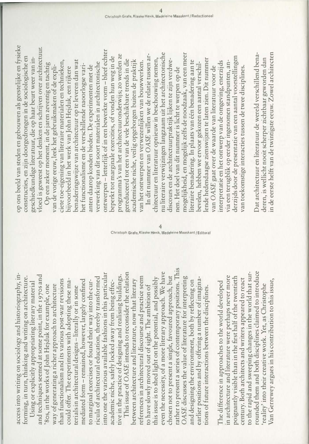access into writing on sociology and historiography, inaccess into writing on sociology and historiography, informing, in turn, thinking and writing on architecture. forming, in turn, thinking and writing on architecture.

into one the various available fashions in this particular into one the various available fashions in this particular and techniques seemed at some point, in the 1970s and tive in the practice of designing and realising buildings. and techniques seemed at some point, in the 1970s and tive in the practice of designing and realising buildings. ricula of architectural education, thereby transformed ricula of architectural education, thereby transformed than functionalism and its various post-war revisions than functionalism and its various post-war revisions could offer. The experiments with adopting these mamediated form - remained, however, largely confined mediated form- remained, however, largely confined academic niche, safely locked away from being effeccould offer. The experiments with adopting these mato marginal exercises or found their way into the cur-Using or explicitly appropriating literary material to marginal exercises or found their way into the curacademic niche, safely locked away from being effec-Using or explicitly appropriating literary material 80s, in the works of John Hejduk for example, one '8os, in the works of John Hejduk for example, one way of generating a richer approach to architecture way of generating a richer approach to architecture erials in architectural designs-literally or in some terials in architectural designs -literally or in some

rather to present a series of contemporary positions. This rather to present a series of contemporary positions. This This issue of OASE intends to reconsider the relation even the necessity, of a more literary approach. We have This issue of OASE intends to reconsider the relation even the necessity, of a more literary approach. We have chosen not to present a single, favoured approach, but references in architectural discourse and practice seem chosen not to present a single, favoured approach, but references in architectural discourse and practice seem OASE discusses the value of literature for interpreting OASE discusses the value of literature for interpreting this issue is to shed light on the potential, and possibly this issue is to shed light on the potential, and possibly earlier positions and by offering a number of imaginabetween architecture and literature, now that literary earlier positions and by offering a number of imaginabetween architecture and literature, now that literary and designing the environment, both by reflecting on and designing the environment, both by reflecting on to have slowly moved out of sight. The ambition of to have slowly moved out of sight. The ambition of tions of future interactions between the disciplines. tions of future interactions between the disciplines.

Christoph Grafe, Klaske Havik, Madeleine Maaskant / Editoral  $\overline{4}$ 

> rounded them and both disciplines claimed to introduce to the rapid and sweeping changes in the world that surrounded them and both disciplines claimed to introduce to the rapid and sweeping changes in the world that surin architecture and literature were perhaps never more in architecture and literature were perhaps never more poignantly visible than in the first half of the twentieth poignantly visible than in the first half of the twentieth century. Both architects and writers appeared to react century. Both architects and writers appeared to react Van Gerrewey argues in his contribution to this issue, Van Gerrewey argues in his contribution to this issue, The difference in approaches to the world developed The difference in approaches to the world developed 'reality' into their creative work. Yet, as Christophe 'reality' into their creative work. Yet, as Christophe

op ons beeld van steden en gebouwen als geestelijke en fy sieke op ons beeld van steden en gebouwen als geestelijke en fysieke vloed is geweest op het denken en schrijven over architectuur. vloed is geweest op het denken en schrijven over architectuur. constructies, en zijn doorgedrongen in de sociologische en constructies, en zijn doorgedrongen in de sociologische en geschiedkundige literatuur, die op haar beurt weer van ingeschiedkundige literatuur, die op haar beurt weer van in-

ontwerpen -letterlijk of in een bewerkte vorm- bleef echter ontwerpen – letterlijk of in een bewerkte vorm – bleef echter programma's van het architectuuronderwijs; zo werden ze In dit nummer van OASE willen we de relatie tussen arprogramma's van het architectuuronderwijs; zo werden ze beperkt tot marginale exercities, of vonden hun weg in de beperkt tot marginale exercities, of vonden hun weg in de gereduceerd tot een van de vele beschikbare trends in die gereduceerd tot een van de vele beschikbare trends in die ciete toe-eigening van literaire materialen en technieken, benaderingswijze van architectuur op te leveren dan wat academische niche, veilig opgeborgen buiten de praktijk academische niche, veilig opgeborgen buiten de praktijk van het ontwerpen en verwezenlijken van bouwwerken. ciete toe-eigening van literaire materialen en technieken, benaderingswijze van architectuur op te leveren dan wat van het ontwerpen en verwezenlijken van bouwwerken. Op een zeker moment, in de jaren zeventig en tachtig Op een zeker moment, in de jaren zeventig en tachtig verwerking van dit soort materialen in architectonische verwerking van dit soort materialen in architectonische het functionalisme en de verschillende naoorlogse varivan de vorige eeuw, leek het gebruikmaken of de explibijvoorbeeld in het werk van John Hejduk, een rijkere het functionalisme en de verschillende naoorlogse varianten daarop konden bieden. De experimenten met de anten daarop konden bieden. De experimenten met de van de vorige eeuw, leek het gebruikmaken of de explibijvoorbeeld in het werk van John Hejduk, een rijkere

nu literaire verwijzingen langzaam uit het architectonische nu literaire verwijzingen langzaam uit het architectonische mogelijkheid, en mogelijk zelfs de noodzaak, van een meer mogelijkheid, en mogelijk zelfs de noodzaak, van een meer In dit nummer van OASE willen we de relatie tussen arderzijds door de presentatie van een aantal voorstellingen derzijds door de presentatie van een aantal voorstellingen chitectuur en literatuur opnieuw in beschouwing nemen, discours en de architectuurpraktijk lijken te zijn verdwelende hedendaagse zienswijzen te laten zien. Dit nummer chitectuur en literatuur opnieuw in beschouwing nemen, ende hedendaagse zienswijzen te laten zien. Dit nummer discours en de architectuurpraktijk lijken te zijn verdweiteraire benadering. In plaats van één benadering aan te literaire benadering. In plaats van een benadering aan te interpretatie en het ontwerp van de omgeving, enerzijds via een terugblik op eerder ingenomen standpunten, anbevelen, hebben we ervoor gekozen een aantal verschilnterpretatie en het ontwerp van de omgeving, enerzijds via een terugblik op eerder ingenomen standpunten, anbevelen, hebben we ervoor gekozen een aantal verschilvan OASE gaat over de waarde van literatuur voor de van toekomstige interacties tussen de twee disciplines. van OASE gaat over de waarde van literatuur voor de van toekomstige interacties tussen de twee disciplines. nen. Het doel van dit nummer is licht te werpen op de nen. Het doel van dit nummer is licht te werpen op de

n de eerste helft van de twintigste eeuw. Zowel architecten in de eerste helft van de twintigste eeuw. Zowel architecten Dat architectuur en literatuur de wereld verschillend bena-Dat architectuur en literatuur de wereld verschillend benaderen, is wellicht nooit scherper zichtbaar geworden dan deren, is wellicht nooit scherper zichtbaar geworden dan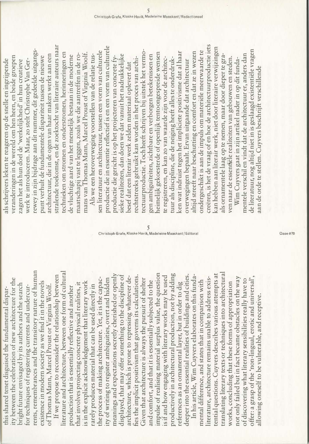rents, remembrances and the transitory nature of human ents, remembrances and the transitory nature of human ity between the celebration of new architecture for the ty between the celebration of new architecture for the existence in modern society as we find it in the novels existence in modern society as we find it in the novels bright future envisaged by its authors and the search bright future envisaged by its authors and the search of Thomas Mann, Marcel Proust or Virginia Woolf. of Thomas Mann, Marcel Proust or Virginia Woolf. or techniques of registering currents and undercurfor techniques of registering currents and undercurthis shared tenet disguised the fundamental disparthis shared tenet disguised the fundamental dispar-

literature and architecture, between one form of cultural iterature and architecture, between one form of cultural meanings and expectations secretly cherished or openly impulse of realising material surplus value, the question productively in architectural production, not by adding mpulse of realising material surplus value, the question productively in architectural production, not by adding deeper into the essential realities of buildings and cities. If we propose to reconsider the relationship between meanings and expectations secretly cherished or openly displayed, that may offer something to the discipline of fies the implicit positivism that governs its calculations. is if and how engaging with literary works may be used deeper into the essential realities of buildings and cities. If we propose to reconsider the relationship between fies the implicit positivism that governs its calculations. s if and how engaging with literary works may be used displayed, that may offer something to the discipline of architecture, which is prone to repressing whatever dearchitecture, which is prone to repressing whatever deity of writing to register ambiguities, overt and hidden the process of making architecture. Yet, it is the capacthe process of making architecture. Yet, it is the capacty of writing to register ambiguities, overt and hidden Given that architecture is always the pursuit of shelter Given that architecture is always the pursuit of shelter and comfort, and that it is essentially subjected to the is in the explicit acknowledgement that literary work and comfort, and that it is essentially subjected to the s in the explicit acknowledgement that literary work references as an ornamental layer, but in order to dig that involves projecting concrete physical realities, it that involves projecting concrete physical realities, it references as an ornamental layer, but in order to dig arely produces material that can be used directly in rarely produces material that can be used directly in production that is essentially reflective and another production that is essentially reflective and another

translating literary texts or techniques into architectural tential questions. Cuyvers describes various attempts at translating literary texts or techniques into architectural In his article, Wim Cuyvers elaborates on this fundaential questions. Cuyvers describes various attempts at In his article, Wim Cuyvers elaborates on this fundaiterature, architecture remains unable to address exisnot only failed but in fact became obstacles on the way offer: a grasp of the 'non-lingual, erotic and universal', literature, architecture remains unable to address exisnot only failed but in fact became obstacles on the way offer: a grasp of the 'non-lingual, erotic and universal', of discovering what literary sensibilities really have to of discovering what literary sensibilities really have to mental difference, and states that in comparison with mental difference, and states that in comparison with works, concluding that these forms of appropriation works, concluding that these forms of appropriation allowing oneself to be vulnerable, and receptive. allowing oneself to be vulnerable, and receptive.

stralende toekomst, en de zoektocht van literaire auteurs naar stralende toekomst, en de zoektocht van literaire auteurs naar ewey in zijn bijdrage aan dit nummer, dit gedeelde uitgangsrewey in zijn bijdrage aan dit nummer, dit gedeelde uitgangstechnieken om stromen en onderstromen, herinneringen en echnieken om stromen en onderstromen, herinneringen en mans van Thomas Mann, Marcel Proust of Virginia Woolf. mans van Thomas Mann, Marcel Proust of Virginia Woolf. architectuur, die in de ogen van haar makers werkt aan een maatschapij vast te leggen, zoals we die aantreffen in de romaatschapij vast te leggen, zoals we die aantreffen in de roveranderingen in de wereld om hen heen, en beide groepen architectuur, die in de ogen van haar makers werkt aan een de vluchtige aard van het menselijk bestaan in de moderne de vluchtige aard van het menselijk bestaan in de moderne punt verhult de fundamentele dispariteit tussen de nieuwe veranderingen in de wereld om hen heen, en beide groepen punt verhult de fundamentele dispariteit tussen de nieuwe als schrijvers leken te reageren op de snelle en ingrijpende zagen het als hun doel de 'werkelijkheid' in hun creatieve werk te introduceren. Maar, zo stelt Christophe Van Gerals schrijvers leken te reageren op de snelle en ingrijpende zagen het als hun doel de 'werkelijkheid' in hun creatieve werk te introduceren. Maar, zo stelt Christophe Van Ger-

creëren, is het de vraag of en hoe de architectuurproductie iets creeren, is het de vraag of en hoe de architectuurproductie iets productie die in essen tie reflectief is en een vorm van culturele productie die in essentie reflectief is en een vorm van culturele kan hebben aan literair werk, niet door literaire verwijzingen can hebben aan literair werk, niet door literaire verwijzingen ectuurproductie. Toch heeft schrijven bij uitstek het vermosen literatuur en architectuur, tussen een vorm van culturele tectuurproductie. Toch heeft schrijven bij uitstek het vermoken wat indruist tegen het impliciete positivisme dat al haar ondergeschikt is aan de impuls om materiële meerwaarde te ondergeschikt is aan de impuls om materiele meerwaarde te sen literatuur en architectuur, tussen een vorm van culturele heimelijk gekoesterde of openlijk tentoongespreide wensen altijd streeft naar beschutting en comfort en dat ze in wezen eimelijk gekoesterde of openlijk tentoongespreide wensen altijd streeft naar beschutting en comfort en dat ze in wezen ken wat indruist tegen het impliciete positivisme dat al haar sieke realiteiten, dan doen we dat vanuit het nadrukkelijke gen ambigu'iteiten, zichtbare en verborgen betekenissen en Als we een heroverweging voorstellen van de relatie tus-Als we een heroverweging voorstellen van de relatie tussieke realiteiten, dan doen we dat vanuit het nadrukkelijke gen ambiguïteiten, zichtbare en verborgen betekenissen en als ornamentele laag op te nemen, maar door dieper te graals ornamentele laag op te nemen, maar door die per te graproductie die gericht is op het projecteren van concrete fyechtstreeks gebruikt kan worden in het proces van archituur als discipline, die de neiging heeft alles te onderdrukven naar de essentiële realiteiten van gebouwen en steden. ven naar de essentiële realiteiten van gebouwen en steden. productie die gericht is op het projecteren van concrete fyrechtstreeks gebruikt kan worden in het proces van archite registreren, en kan zo van waarde zijn voor de architecte registreren, en kan zo van waarde zijn voor de architec-Wim Cuyvers gaat in zijn artikel nader in op dit fundatuur als discipline, die de neiging heeft alles te onderdruk-Wim Cuyvers gaat in zijn artikel nader in op dit fundaoverwegingen bepaalt. Ervan uitgaande dat architectuur overwegingen bepaalt. Ervan uitgaande dat architectuur besef dat een literair werk zelden materiaal oplevert dat besef dat een literair werk zelden materiaal oplevert dat

 $\dfrac{5}{2}$ Christoph Grafe, Klaske Havik, Madeleine Maaskant / Editoral

de literatuur, nog altijd niet in is geslaagd existentiele vragen de literatuur, nog altijd niet in is geslaagd existentiële vragen mentele verschil en vindt dat de architectuur er, anders dan mentele verschil en vindt dat de architectuur er, anders dan aan de orde te stellen. Cuyvers beschrijft verschillende aan de orde te stellen. Cuyvers beschrijft verschillende

Oase#70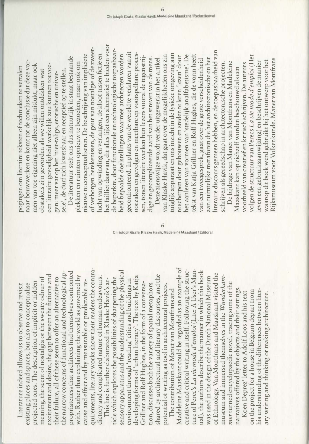quirements, literary works show their readers the contrapropriateness that architects find themselves confronted quirements, literary works show their readers the contrathe narrow concerns of functional and technological aphe narrow concerns of functional and technological appropriateness that architects find themselves confronted excitement and desire, the gap between the fictions and excitement and desire, the gap between the fictions and with. Rather than explaining the world as governed by with. Kather than explaining the world as governed by dictory and complicated nature of human endeavours. meaning, the scent of nostalgia or the sweaty odour of meaning, the scent of nostalgia or the sweaty odour of heir failure, all of these seem to offer an alternative to their failure, all of these seem to offer an alternative to dictory and complicated nature of human endeavours. cause and effect and by measurable or predictable reprojected ones. The description of implicit or hidden cause and effect and by measurable or predictable reprojected ones. The description of implicit or hidden Literature indeed allows us to observe and revisit existing places and spaces, but also to conceptualise existing places and spaces, but also to conceptualise Literature indeed allows us to observe and revisit

sensory apparatus and the understanding of the physical sensory apparatus and the understanding of the physical developing forms of 'urban literacy'. The text by Katja developing forms of 'urban literacy'. The text by Katja shared by architectural and literary discourses, and the shared by architectural and literary discourses, and the ticle which explores the possibilities of sharpening the ticle which explores the possibilities of sharpening the This line is further elaborated in Klaske Havik's arenvironment through 'reading' cities and buildings in This line is further elaborated in Klaske Havik's arenvironment through 'reading' cities and buildings in Grillner and Rolf Hughes, in the form of a conversa-Grillner and Rolf Hughes, in the form of a conversation, discusses both the variety of spatial metaphors tion, discusses both the variety of spatial metaphors potential of writing as tool in architectural projects. potential of writing as tool in architectural projects.

Madeleine Maaskant could be regarded as an example of Madeleine Maaskant could be regarded as an example of creative and critical writing in itself. Following the structure of Perec's La vie mode d'emploi (Life: A User's Manture of Perec's La vie mode d'emploi (Life: A User's Manual), the authors describe the manner in which this book creative and critical writing in itself. Following the strucual), the authors describe the manner in which this book of Ethnology. Van Montfrans and Maaskant visited the of Ethnology. Van Montfrans and Maaskant visited the museum and immersed themselves in the Wunderkamwas used in the design of the Dutch National Museum museum and immersed themselves in the Wunderkamwas used in the design of the Dutch National Museum mer turned encyclopaedic novel, tracing some of the mer turned encyclopaedic novel, tracing some of the narratives offered by the objects and their settings. narratives offered by the objects and their settings. The contribution of Manet van Montfrans and The contribution of Manet van Montfrans and

his understanding of the differences between literon the project for a house in Belgium depart from on the project for a house in Belgium depart from his understanding of the differences between liter-Koen Deprez' letter to Adolf Loos and his text Koen Deprez' letter to Adolf Loos and his text ary writing and thinking or making architecture. ary writing and thinking or making architecture.

naar bouwwerken en komt tot de conclusie dat deze vornaar bouwwerken en komt tot de conclusie dat deze vormen van toe-eigening niet alleen zijn mislukt, maar ook men van toe-eigening niet alleen zijn mislukt, maar ook een literaire gevoeligheid werkelijk zou kunnen toevoeeen literaire gevoeligheid werkelijk zou kunnen toevoepogingen om literaire teksten of technieken te vertalen oogingen om literaire teksten of technieken te vertalen sele', de durf zich kwetsbaar en receptief op te stellen. obstakels zijn geworden als we willen ontdekken wat obstakels zijn geworden als we willen ontdekken wat sele', de durf zich kwetsbaar en receptief op te stellen. gen: meer vat op het 'niet-talige, erotische en univergen: meer vat op het 'niet-talige, erotische en univer-

het failliet daarvan, dit alles lijkt een alternatief te bieden voor net failliet daarvan, dit alles lijkt een alternatief te bieden voor of verborgen betekenissen, de geur van nostalgie of de zweetof verborgen betekenissen, de geur van nostalgie of de zweetde beperkte, door functionele en technologische toepasbaarde beperkte, door functionele en technologische toepasbaargeconfronteerd. In plaats van de wereld te verklaren vanuit geconfronteerd. In plaats van de wereld te verklaren vanuit ucht van opwinding en verlangen, de kloof tussen fictie en oorzaken en gevolgen en meetbare en voorspelbare procesoorzaken en gevolgen en meetbare en voorspelbare procesnieuwe te conceptualiseren. De beschrijving van impliciete nieuwe te conceptualiseren. De beschrijving van impliciete lucht van opwinding en verlangen, de kloof tussen fictie en heid bepaalde doelstellingen waarmee architecten worden heid bepaalde doelstellingen waarmee architecten worden sen, tonen literaire werken hun lezers vooral de tegenstrij-De literatuur stelt ons dus natuurlijk in staat bestaande De literatuur stelt ons dus natuurlijk in staat bestaande sen, tonen literaire werken hun lezers vooral de tegenstrijdige en gecompliceerde aard van het streven van de mens. dige en gecompliceerde aard van het streven van de mens. olekken en ruimten opnieuw te bezoeken, maar ook om plekken en ruimten opnieuw te bezoeken, maar ook om

literaire discours gemeen hebben, en de toepasbaarheid van iteraire discours gemeen hebben, en de toepasbaarheid van van Klaske Havik, dat gaat over de mogelijkheden ons zintuiglijk apparaat en ons inzicht in de fysieke omgeving aan van Klaske Havik, dat gaat over de mogelijkheden ons zinuiglijk apparaat en ons inzicht in de fysieke omgeving aan tekst van Katja Grillner en Rolf Hughes, die de vorm heeft het aanleren van vormen van 'stedelijk analfabetisme'. De het aanleren van vormen van 'stedelijk analfabetisme'. De cekst van Katja Grillner en Rolf Hughes, die de vorm heeft e scherpen door gebouwen en steden te leren 'lezen' door te scherpen door gebouwen en steden te leren 'lezen' door Deze zienswijze wordt verder uitgewerkt in het artikel Deze zienswijze wordt verder uitgewerkt in het artikel aan ruimtelijke metaforen die het architectonische en het aan ruimtelijke metaforen die het architectonische en het van een tweegesprek, gaat over de grote verscheidenheid van een tweegesprek, gaat over de grote verscheidenheid schrijven als gereedschap in architectonische projecten. schrijven als gereedschap in architectonische projecten.

volgen de structuur van Perecs La vie mode d'emploi (Het volgen de structuur van Perecs La vie mode d'emploi (Het Rijksmuseum voor Volkenkunde. Manet van Montfrans Rijksmuseum voor Volkenkunde. Manet van Montfrans waarop dit boek werd gebruikt bij het ontwerp voor het waarop dit boek werd gebruikt bij het ontwerp voor het even een gebruiksaanwijzing) en beschrijven de manier leven een gebruiksaanwijzing) en beschrijven de manier De bijdrage van Manet van Montfrans en Madeleine De bijdrage van Manet van Montfrans en Madeleine voorbeeld van creatief en kritisch schrijven. De auteurs voorbeeld van creatief en kritisch schrijven. De auteurs Maaskant kan op zichzelf worden beschouwd als een Maaskant kan op zichzelf worden beschouwd als een

Christoph Grafe, Klaske Havik, Madeleine Maaskant / Editoral  $\overline{6}$